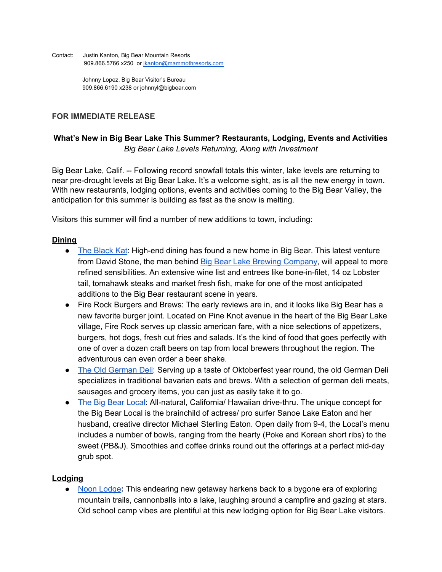Contact: Justin Kanton, Big Bear Mountain Resorts 909.866.5766 x250 or [jkanton@mammothresorts.com](mailto:jkanton@mammothresorts.com)

> Johnny Lopez, Big Bear Visitor's Bureau 909.866.6190 x238 or johnnyl@bigbear.com

## **FOR IMMEDIATE RELEASE**

# **What's New in Big Bear Lake This Summer? Restaurants, Lodging, Events and Activities** *Big Bear Lake Levels Returning, Along with Investment*

Big Bear Lake, Calif. -- Following record snowfall totals this winter, lake levels are returning to near pre-drought levels at Big Bear Lake. It's a welcome sight, as is all the new energy in town. With new restaurants, lodging options, events and activities coming to the Big Bear Valley, the anticipation for this summer is building as fast as the snow is melting.

Visitors this summer will find a number of new additions to town, including:

#### **Dining**

- The [Black](http://theblackkat.com/) Kat: High-end dining has found a new home in Big Bear. This latest venture from David Stone, the man behind Big Bear Lake Brewing [Company,](http://bblbc.com/) will appeal to more refined sensibilities. An extensive wine list and entrees like bone-in-filet, 14 oz Lobster tail, tomahawk steaks and market fresh fish, make for one of the most anticipated additions to the Big Bear restaurant scene in years.
- Fire Rock Burgers and Brews: The early reviews are in, and it looks like Big Bear has a new favorite burger joint. Located on Pine Knot avenue in the heart of the Big Bear Lake village, Fire Rock serves up classic american fare, with a nice selections of appetizers, burgers, hot dogs, fresh cut fries and salads. It's the kind of food that goes perfectly with one of over a dozen craft beers on tap from local brewers throughout the region. The adventurous can even order a beer shake.
- The Old [German](https://www.facebook.com/The-Old-German-Deli-1789938881253754/) Deli: Serving up a taste of Oktoberfest year round, the old German Deli specializes in traditional bavarian eats and brews. With a selection of german deli meats, sausages and grocery items, you can just as easily take it to go.
- The Big Bear [Local:](https://www.thebigbearlocal.com/) All-natural, California/ Hawaiian drive-thru. The unique concept for the Big Bear Local is the brainchild of actress/ pro surfer Sanoe Lake Eaton and her husband, creative director Michael Sterling Eaton. Open daily from 9-4, the Local's menu includes a number of bowls, ranging from the hearty (Poke and Korean short ribs) to the sweet (PB&J). Smoothies and coffee drinks round out the offerings at a perfect mid-day grub spot.

### **Lodging**

**●** Noon [Lodge](http://www.noonlodge.com/)**:** This endearing new getaway harkens back to a bygone era of exploring mountain trails, cannonballs into a lake, laughing around a campfire and gazing at stars. Old school camp vibes are plentiful at this new lodging option for Big Bear Lake visitors.